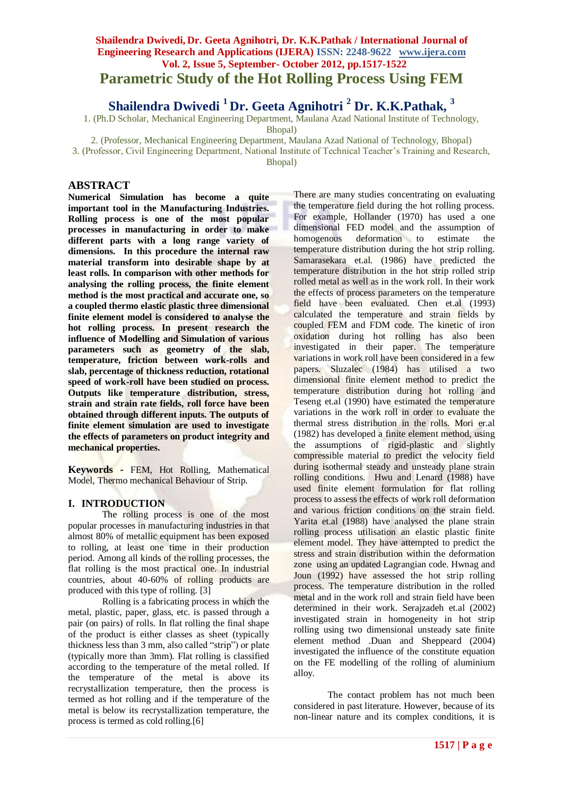# **Shailendra Dwivedi, Dr. Geeta Agnihotri, Dr. K.K.Pathak / International Journal of Engineering Research and Applications (IJERA) ISSN: 2248-9622 www.ijera.com Vol. 2, Issue 5, September- October 2012, pp.1517-1522 Parametric Study of the Hot Rolling Process Using FEM**

**Shailendra Dwivedi <sup>1</sup>Dr. Geeta Agnihotri <sup>2</sup> Dr. K.K.Pathak, <sup>3</sup>**

1. (Ph.D Scholar, Mechanical Engineering Department, Maulana Azad National Institute of Technology,

Bhopal)

2. (Professor, Mechanical Engineering Department, Maulana Azad National of Technology, Bhopal)

3. (Professor, Civil Engineering Department, National Institute of Technical Teacher's Training and Research,

Bhopal)

## **ABSTRACT**

**Numerical Simulation has become a quite important tool in the Manufacturing Industries. Rolling process is one of the most popular processes in manufacturing in order to make different parts with a long range variety of dimensions. In this procedure the internal raw material transform into desirable shape by at least rolls. In comparison with other methods for analysing the rolling process, the finite element method is the most practical and accurate one, so a coupled thermo elastic plastic three dimensional finite element model is considered to analyse the hot rolling process. In present research the influence of Modelling and Simulation of various parameters such as geometry of the slab, temperature, friction between work-rolls and slab, percentage of thickness reduction, rotational speed of work-roll have been studied on process. Outputs like temperature distribution, stress, strain and strain rate fields, roll force have been obtained through different inputs. The outputs of finite element simulation are used to investigate the effects of parameters on product integrity and mechanical properties.**

**Keywords -** FEM, Hot Rolling, Mathematical Model, Thermo mechanical Behaviour of Strip.

## **I. INTRODUCTION**

The rolling process is one of the most popular processes in manufacturing industries in that almost 80% of metallic equipment has been exposed to rolling, at least one time in their production period. Among all kinds of the rolling processes, the flat rolling is the most practical one. In industrial countries, about 40-60% of rolling products are produced with this type of rolling. [3]

Rolling is a fabricating process in which the metal, plastic, paper, glass, etc. is passed through a pair (on pairs) of rolls. In flat rolling the final shape of the product is either classes as sheet (typically thickness less than 3 mm, also called "strip") or plate (typically more than 3mm). Flat rolling is classified according to the temperature of the metal rolled. If the temperature of the metal is above its recrystallization temperature, then the process is termed as hot rolling and if the temperature of the metal is below its recrystallization temperature, the process is termed as cold rolling.[6]

There are many studies concentrating on evaluating the temperature field during the hot rolling process. For example, Hollander (1970) has used a one dimensional FED model and the assumption of homogenous deformation to estimate the temperature distribution during the hot strip rolling. Samarasekara et.al. (1986) have predicted the temperature distribution in the hot strip rolled strip rolled metal as well as in the work roll. In their work the effects of process parameters on the temperature field have been evaluated. Chen et.al (1993) calculated the temperature and strain fields by coupled FEM and FDM code. The kinetic of iron oxidation during hot rolling has also been investigated in their paper. The temperature variations in work roll have been considered in a few papers. Sluzalec (1984) has utilised a two dimensional finite element method to predict the temperature distribution during hot rolling and Teseng et.al (1990) have estimated the temperature variations in the work roll in order to evaluate the thermal stress distribution in the rolls. Mori er.al (1982) has developed a finite element method, using the assumptions of rigid-plastic and slightly compressible material to predict the velocity field during isothermal steady and unsteady plane strain rolling conditions. Hwu and Lenard (1988) have used finite element formulation for flat rolling process to assess the effects of work roll deformation and various friction conditions on the strain field. Yarita et.al (1988) have analysed the plane strain rolling process utilisation an elastic plastic finite element model. They have attempted to predict the stress and strain distribution within the deformation zone using an updated Lagrangian code. Hwnag and Joun (1992) have assessed the hot strip rolling process. The temperature distribution in the rolled metal and in the work roll and strain field have been determined in their work. Serajzadeh et.al (2002) investigated strain in homogeneity in hot strip rolling using two dimensional unsteady sate finite element method .Duan and Sheppeard (2004) investigated the influence of the constitute equation on the FE modelling of the rolling of aluminium alloy.

The contact problem has not much been considered in past literature. However, because of its non-linear nature and its complex conditions, it is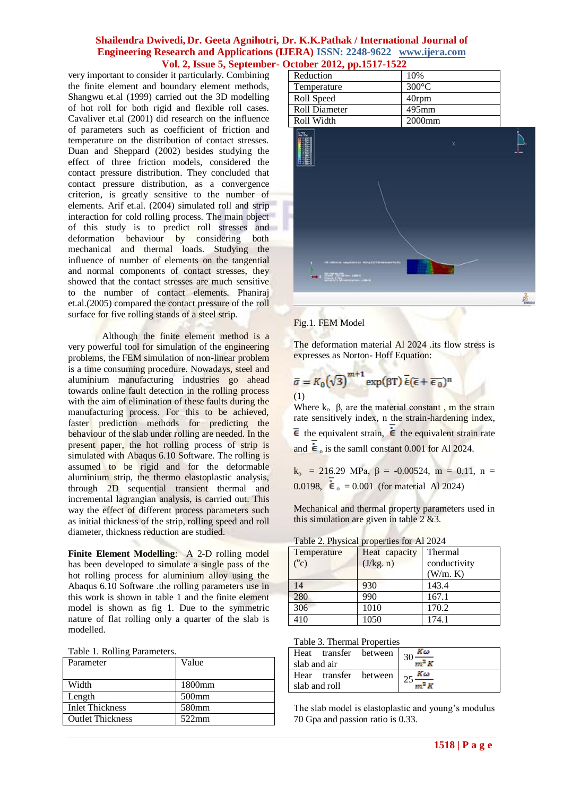very important to consider it particularly. Combining the finite element and boundary element methods, Shangwu et.al (1999) carried out the 3D modelling of hot roll for both rigid and flexible roll cases. Cavaliver et.al (2001) did research on the influence of parameters such as coefficient of friction and temperature on the distribution of contact stresses. Duan and Sheppard (2002) besides studying the effect of three friction models, considered the contact pressure distribution. They concluded that contact pressure distribution, as a convergence criterion, is greatly sensitive to the number of elements. Arif et.al. (2004) simulated roll and strip interaction for cold rolling process. The main object of this study is to predict roll stresses and deformation behaviour by considering both mechanical and thermal loads. Studying the influence of number of elements on the tangential and normal components of contact stresses, they showed that the contact stresses are much sensitive to the number of contact elements. Phaniraj et.al.(2005) compared the contact pressure of the roll surface for five rolling stands of a steel strip.

Although the finite element method is a very powerful tool for simulation of the engineering problems, the FEM simulation of non-linear problem is a time consuming procedure. Nowadays, steel and aluminium manufacturing industries go ahead towards online fault detection in the rolling process with the aim of elimination of these faults during the manufacturing process. For this to be achieved, faster prediction methods for predicting the behaviour of the slab under rolling are needed. In the present paper, the hot rolling process of strip is simulated with Abaqus 6.10 Software. The rolling is assumed to be rigid and for the deformable aluminium strip, the thermo elastoplastic analysis, through 2D sequential transient thermal and incremental lagrangian analysis, is carried out. This way the effect of different process parameters such as initial thickness of the strip, rolling speed and roll diameter, thickness reduction are studied.

**Finite Element Modelling**: A 2-D rolling model has been developed to simulate a single pass of the hot rolling process for aluminium alloy using the Abaqus 6.10 Software .the rolling parameters use in this work is shown in table 1 and the finite element model is shown as fig 1. Due to the symmetric nature of flat rolling only a quarter of the slab is modelled.

|  |  |  | Table 1. Rolling Parameters. |
|--|--|--|------------------------------|
|--|--|--|------------------------------|

| Parameter               | Value    |
|-------------------------|----------|
| Width                   | 1800mm   |
| Length                  | $500$ mm |
| <b>Inlet Thickness</b>  | 580mm    |
| <b>Outlet Thickness</b> | $522$ mm |

| Reduction     | 10%             |
|---------------|-----------------|
| Temperature   | $300^{\circ}$ C |
| Roll Speed    | 40rpm           |
| Roll Diameter | $495$ mm        |
| Roll Width    | $2000$ mm       |



#### Fig.1. FEM Model

**START** 

The deformation material Al 2024 .its flow stress is expresses as Norton- Hoff Equation:

$$
\bar{\sigma} = K_0 (\sqrt{3})^{m+1} \exp(\beta T) \bar{\epsilon} (\bar{\epsilon} + \bar{\epsilon}_0)^n
$$
  
(1)

**Billian** 

Where  $k_0$ ,  $\beta$ , are the material constant, m the strain rate sensitively index, n the strain-hardening index,  $\overline{\epsilon}$  the equivalent strain,  $\dot{\epsilon}$  the equivalent strain rate and  $\dot{\boldsymbol{\epsilon}}_0$  is the samll constant 0.001 for Al 2024.

 $k_0$  = 216.29 MPa, β = -0.00524, m = 0.11, n = 0.0198,  $\dot{\epsilon}_0 = 0.001$  (for material Al 2024)

Mechanical and thermal property parameters used in this simulation are given in table 2 &3.

| <b>Table 2. Physical properties for Al 2024</b> |               |              |  |
|-------------------------------------------------|---------------|--------------|--|
| Temperature                                     | Heat capacity | Thermal      |  |
| $(^0c)$                                         | (J/kg. n)     | conductivity |  |
|                                                 |               | (W/m. K)     |  |
| 14                                              | 930           | 143.4        |  |
|                                                 | 990           |              |  |

| Table 2. Physical properties for Al 2024 |  |  |
|------------------------------------------|--|--|
|------------------------------------------|--|--|

306 1010 170.2 410 1050 174.1

| Heat<br>slab and air | transfer between $\int_{20}$ $\frac{R\omega}{a}$ | $m^2$ $K$ |
|----------------------|--------------------------------------------------|-----------|
| slab and roll        | Hear transfer between $\vert_{25}$               | Κω        |

The slab model is elastoplastic and young's modulus 70 Gpa and passion ratio is 0.33.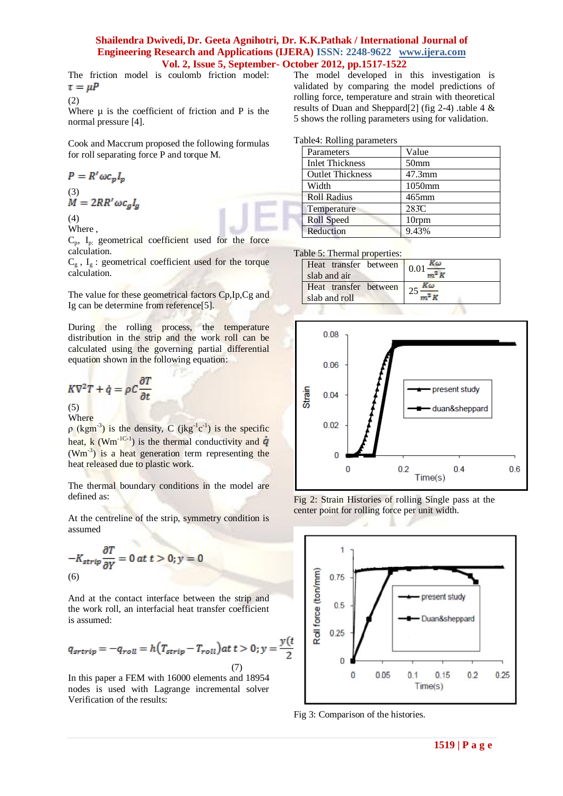The friction model is coulomb friction model:  $\tau = \mu P$ 

$$
(2)
$$

Where  $\mu$  is the coefficient of friction and P is the normal pressure [4].

Cook and Maccrum proposed the following formulas for roll separating force P and torque M.

$$
P = R' \omega c_p I_p
$$

$$
\overset{(3)}{M}=2RR'\omega c_gI_g
$$

(4) Where ,

 $C_p$ ,  $I_p$ : geometrical coefficient used for the force calculation.

 $C_g$ ,  $I_g$ : geometrical coefficient used for the torque calculation.

The value for these geometrical factors Cp,Ip,Cg and Ig can be determine from reference[5].

During the rolling process, the temperature distribution in the strip and the work roll can be calculated using the governing partial differential equation shown in the following equation:

$$
K\nabla^2 T + \dot{q} = \rho C \frac{\partial T}{\partial t}
$$

 $(5)$ Where

 $\rho$  (kgm<sup>-3</sup>) is the density, C (jkg<sup>-1</sup>c<sup>-1</sup>) is the specific heat,  $k$  (Wm<sup>-1C-1</sup>) is the thermal conductivity and  $(Wm^{-3})$  is a heat generation term representing the heat released due to plastic work.

The thermal boundary conditions in the model are defined as:

At the centreline of the strip, symmetry condition is assumed

$$
-K_{strip}\frac{\partial T}{\partial Y} = 0 \ at \ t > 0; y = 0
$$
  
(6)

And at the contact interface between the strip and the work roll, an interfacial heat transfer coefficient is assumed:

$$
q_{strip} = -q_{roll} = h(T_{strip} - T_{roll})at\ t > 0; y = \frac{y(t)}{2}
$$
\n(7)

In this paper a FEM with 16000 elements and 18954 nodes is used with Lagrange incremental solver Verification of the results:

The model developed in this investigation is validated by comparing the model predictions of rolling force, temperature and strain with theoretical results of Duan and Sheppard[2] (fig 2-4) .table 4 & 5 shows the rolling parameters using for validation.

Table4: Rolling parameters

| Parameters              | Value            |
|-------------------------|------------------|
| <b>Inlet Thickness</b>  | 50 <sub>mm</sub> |
| <b>Outlet Thickness</b> | $47.3$ mm        |
| Width                   | 1050mm           |
| <b>Roll Radius</b>      | 465mm            |
| Temperature             | 283C             |
| <b>Roll Speed</b>       | 10rpm            |
| Reduction               | 9.43%            |
|                         |                  |

Table 5: Thermal properties:

| Heat transfer between 0.01<br>slab and air  | Κω |
|---------------------------------------------|----|
| Heat transfer between $25$<br>slab and roll | Kω |



Fig 2: Strain Histories of rolling Single pass at the center point for rolling force per unit width.



Fig 3: Comparison of the histories.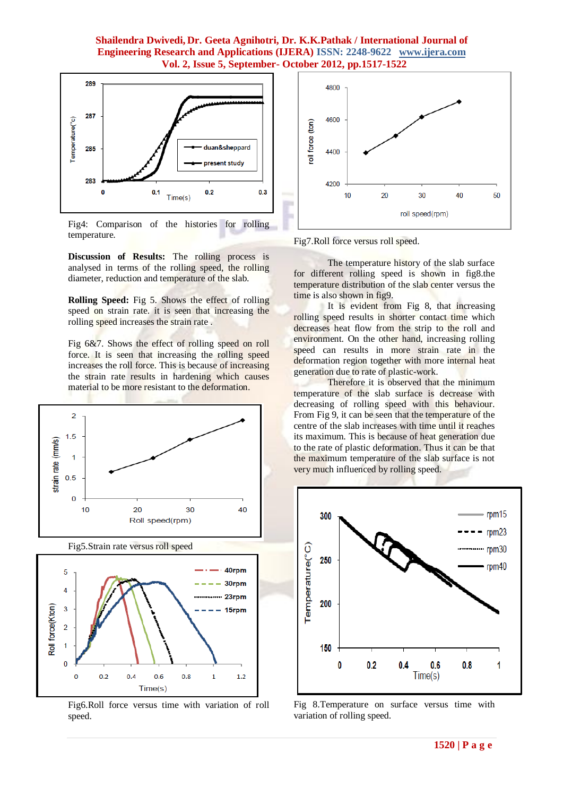

Fig4: Comparison of the histories for rolling temperature.

**Discussion of Results:** The rolling process is analysed in terms of the rolling speed, the rolling diameter, reduction and temperature of the slab.

**Rolling Speed:** Fig 5. Shows the effect of rolling speed on strain rate. it is seen that increasing the rolling speed increases the strain rate .

Fig 6&7. Shows the effect of rolling speed on roll force. It is seen that increasing the rolling speed increases the roll force. This is because of increasing the strain rate results in hardening which causes material to be more resistant to the deformation.



Fig6.Roll force versus time with variation of roll speed.



Fig7.Roll force versus roll speed.

The temperature history of the slab surface for different rolling speed is shown in fig8.the temperature distribution of the slab center versus the time is also shown in fig9.

It is evident from Fig 8, that increasing rolling speed results in shorter contact time which decreases heat flow from the strip to the roll and environment. On the other hand, increasing rolling speed can results in more strain rate in the deformation region together with more internal heat generation due to rate of plastic-work.

Therefore it is observed that the minimum temperature of the slab surface is decrease with decreasing of rolling speed with this behaviour. From Fig 9, it can be seen that the temperature of the centre of the slab increases with time until it reaches its maximum. This is because of heat generation due to the rate of plastic deformation. Thus it can be that the maximum temperature of the slab surface is not very much influenced by rolling speed.



Fig 8.Temperature on surface versus time with variation of rolling speed.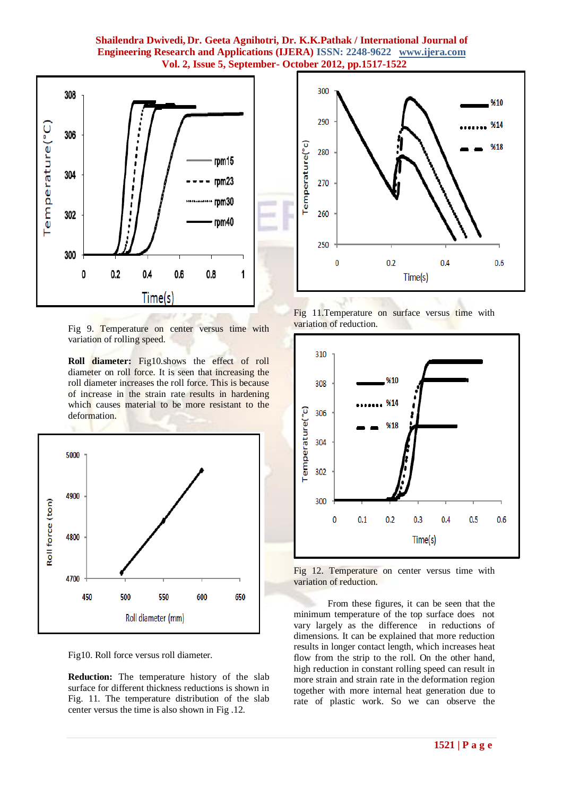

Fig 9. Temperature on center versus time with variation of rolling speed.

**Roll diameter:** Fig10.shows the effect of roll diameter on roll force. It is seen that increasing the roll diameter increases the roll force. This is because of increase in the strain rate results in hardening which causes material to be more resistant to the deformation.



Fig10. Roll force versus roll diameter.

**Reduction:** The temperature history of the slab surface for different thickness reductions is shown in Fig. 11. The temperature distribution of the slab center versus the time is also shown in Fig .12.







Fig 12. Temperature on center versus time with variation of reduction.

From these figures, it can be seen that the minimum temperature of the top surface does not vary largely as the difference in reductions of dimensions. It can be explained that more reduction results in longer contact length, which increases heat flow from the strip to the roll. On the other hand, high reduction in constant rolling speed can result in more strain and strain rate in the deformation region together with more internal heat generation due to rate of plastic work. So we can observe the